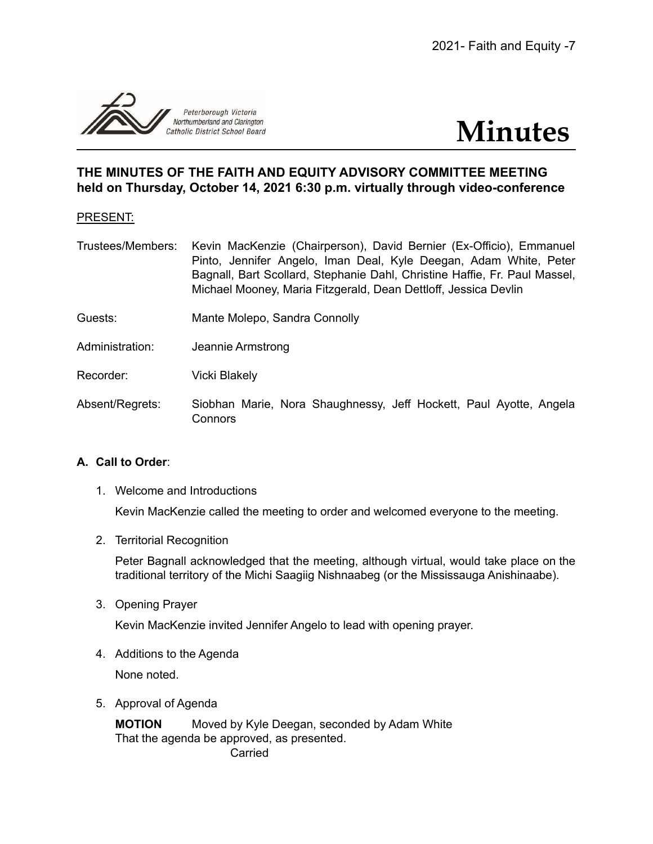

# **Minutes**

# **THE MINUTES OF THE FAITH AND EQUITY ADVISORY COMMITTEE MEETING held on Thursday, October 14, 2021 6:30 p.m. virtually through video-conference**

# PRESENT:

- Trustees/Members: Kevin MacKenzie (Chairperson), David Bernier (Ex-Officio), Emmanuel Pinto, Jennifer Angelo, Iman Deal, Kyle Deegan, Adam White, Peter Bagnall, Bart Scollard, Stephanie Dahl, Christine Haffie, Fr. Paul Massel, Michael Mooney, Maria Fitzgerald, Dean Dettloff, Jessica Devlin
- Guests: Mante Molepo, Sandra Connolly
- Administration: Jeannie Armstrong
- Recorder: Vicki Blakely
- Absent/Regrets: Siobhan Marie, Nora Shaughnessy, Jeff Hockett, Paul Ayotte, Angela Connors

## **A. Call to Order**:

1. Welcome and Introductions

Kevin MacKenzie called the meeting to order and welcomed everyone to the meeting.

2. Territorial Recognition

Peter Bagnall acknowledged that the meeting, although virtual, would take place on the traditional territory of the Michi Saagiig Nishnaabeg (or the Mississauga Anishinaabe).

3. Opening Prayer

Kevin MacKenzie invited Jennifer Angelo to lead with opening prayer.

4. Additions to the Agenda

None noted.

5. Approval of Agenda

**MOTION** Moved by Kyle Deegan, seconded by Adam White That the agenda be approved, as presented. Carried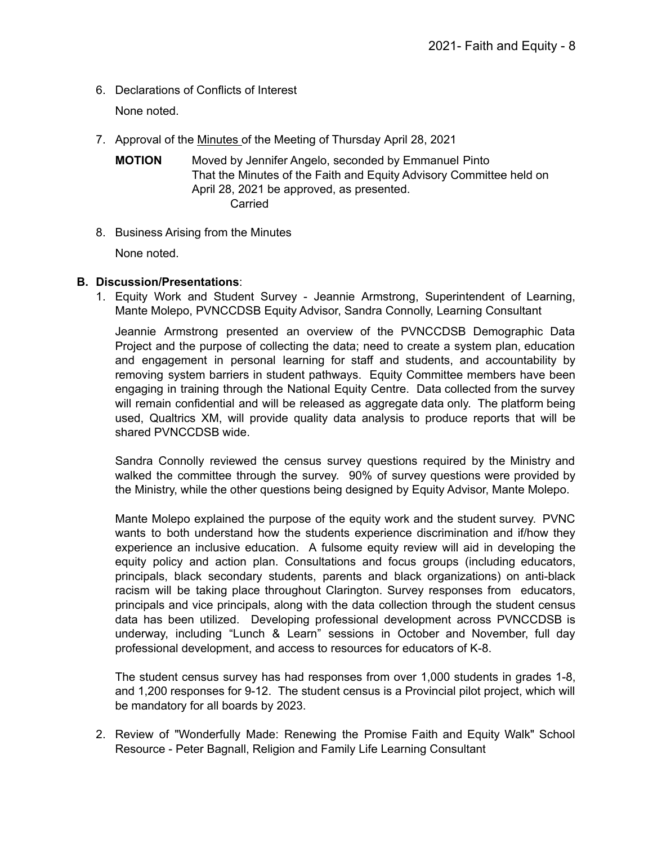6. Declarations of Conflicts of Interest

None noted.

- 7. Approval of the [Minutes](https://docs.google.com/document/d/1tA-awDfWTAL90W4wcNTQj6ZqE6cVGWxX/edit?usp=sharing&ouid=117905647354719688566&rtpof=true&sd=true) of the Meeting of Thursday April 28, 2021
	- **MOTION** Moved by Jennifer Angelo, seconded by Emmanuel Pinto That the Minutes of the Faith and Equity Advisory Committee held on April 28, 2021 be approved, as presented. Carried
- 8. Business Arising from the Minutes

None noted.

#### **B. Discussion/Presentations**:

1. Equity Work and Student Survey - Jeannie Armstrong, Superintendent of Learning, Mante Molepo, PVNCCDSB Equity Advisor, Sandra Connolly, Learning Consultant

Jeannie Armstrong presented an overview of the PVNCCDSB Demographic Data Project and the purpose of collecting the data; need to create a system plan, education and engagement in personal learning for staff and students, and accountability by removing system barriers in student pathways. Equity Committee members have been engaging in training through the National Equity Centre. Data collected from the survey will remain confidential and will be released as aggregate data only. The platform being used, Qualtrics XM, will provide quality data analysis to produce reports that will be shared PVNCCDSB wide.

Sandra Connolly reviewed the census survey questions required by the Ministry and walked the committee through the survey. 90% of survey questions were provided by the Ministry, while the other questions being designed by Equity Advisor, Mante Molepo.

Mante Molepo explained the purpose of the equity work and the student survey. PVNC wants to both understand how the students experience discrimination and if/how they experience an inclusive education. A fulsome equity review will aid in developing the equity policy and action plan. Consultations and focus groups (including educators, principals, black secondary students, parents and black organizations) on anti-black racism will be taking place throughout Clarington. Survey responses from educators, principals and vice principals, along with the data collection through the student census data has been utilized. Developing professional development across PVNCCDSB is underway, including "Lunch & Learn" sessions in October and November, full day professional development, and access to resources for educators of K-8.

The student census survey has had responses from over 1,000 students in grades 1-8, and 1,200 responses for 9-12. The student census is a Provincial pilot project, which will be mandatory for all boards by 2023.

2. Review of "Wonderfully Made: Renewing the Promise Faith and Equity Walk" School Resource - Peter Bagnall, Religion and Family Life Learning Consultant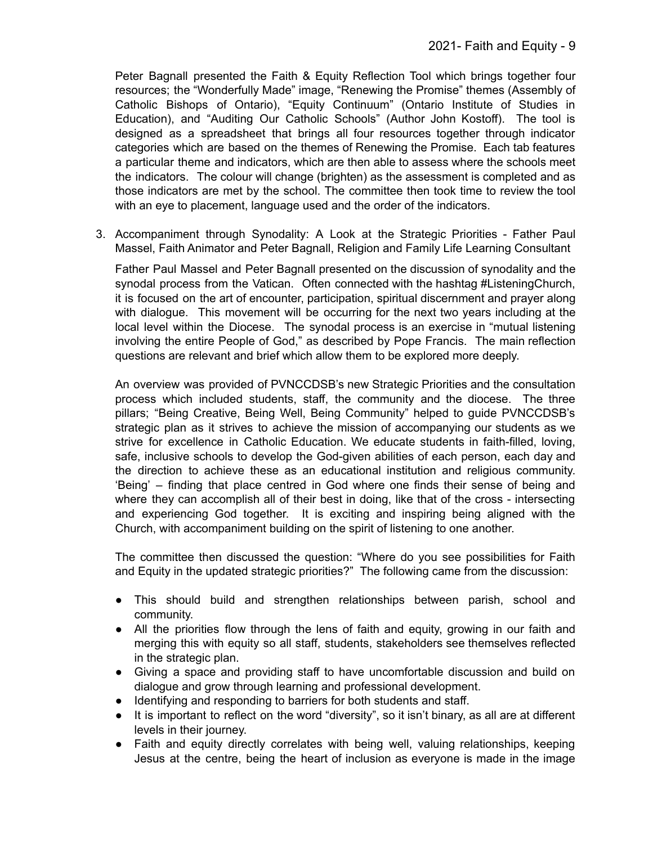Peter Bagnall presented the Faith & Equity Reflection Tool which brings together four resources; the "Wonderfully Made" image, "Renewing the Promise" themes (Assembly of Catholic Bishops of Ontario), "Equity Continuum" (Ontario Institute of Studies in Education), and "Auditing Our Catholic Schools" (Author John Kostoff). The tool is designed as a spreadsheet that brings all four resources together through indicator categories which are based on the themes of Renewing the Promise. Each tab features a particular theme and indicators, which are then able to assess where the schools meet the indicators. The colour will change (brighten) as the assessment is completed and as those indicators are met by the school. The committee then took time to review the tool with an eye to placement, language used and the order of the indicators.

3. Accompaniment through Synodality: A Look at the Strategic Priorities - Father Paul Massel, Faith Animator and Peter Bagnall, Religion and Family Life Learning Consultant

Father Paul Massel and Peter Bagnall presented on the discussion of synodality and the synodal process from the Vatican. Often connected with the hashtag #ListeningChurch, it is focused on the art of encounter, participation, spiritual discernment and prayer along with dialogue. This movement will be occurring for the next two years including at the local level within the Diocese. The synodal process is an exercise in "mutual listening involving the entire People of God," as described by Pope Francis. The main reflection questions are relevant and brief which allow them to be explored more deeply.

An overview was provided of PVNCCDSB's new Strategic Priorities and the consultation process which included students, staff, the community and the diocese. The three pillars; "Being Creative, Being Well, Being Community" helped to guide PVNCCDSB's strategic plan as it strives to achieve the mission of accompanying our students as we strive for excellence in Catholic Education. We educate students in faith-filled, loving, safe, inclusive schools to develop the God-given abilities of each person, each day and the direction to achieve these as an educational institution and religious community. 'Being' – finding that place centred in God where one finds their sense of being and where they can accomplish all of their best in doing, like that of the cross - intersecting and experiencing God together. It is exciting and inspiring being aligned with the Church, with accompaniment building on the spirit of listening to one another.

The committee then discussed the question: "Where do you see possibilities for Faith and Equity in the updated strategic priorities?" The following came from the discussion:

- This should build and strengthen relationships between parish, school and community.
- All the priorities flow through the lens of faith and equity, growing in our faith and merging this with equity so all staff, students, stakeholders see themselves reflected in the strategic plan.
- Giving a space and providing staff to have uncomfortable discussion and build on dialogue and grow through learning and professional development.
- Identifying and responding to barriers for both students and staff.
- It is important to reflect on the word "diversity", so it isn't binary, as all are at different levels in their journey.
- Faith and equity directly correlates with being well, valuing relationships, keeping Jesus at the centre, being the heart of inclusion as everyone is made in the image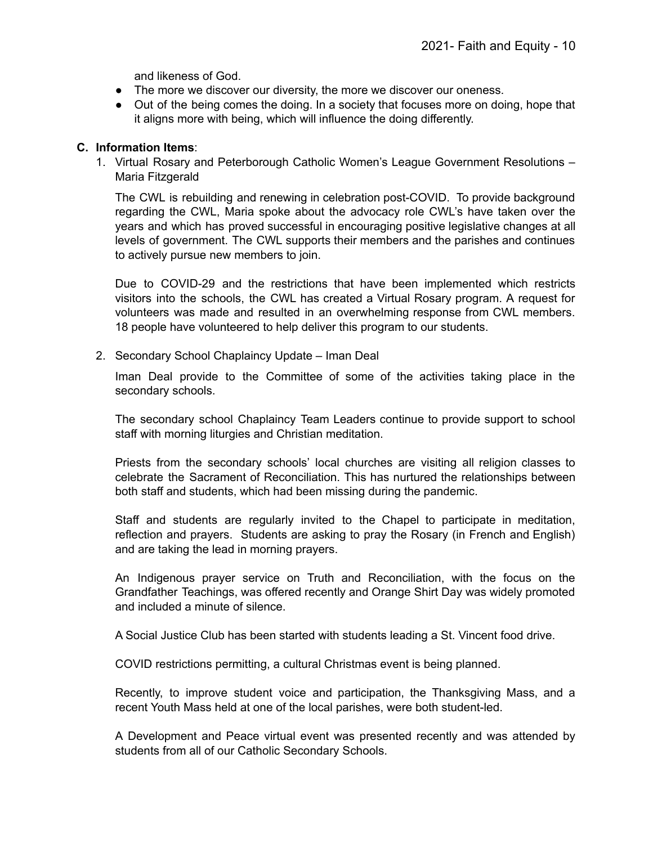and likeness of God.

- The more we discover our diversity, the more we discover our oneness.
- Out of the being comes the doing. In a society that focuses more on doing, hope that it aligns more with being, which will influence the doing differently.

#### **C. Information Items**:

1. Virtual Rosary and Peterborough Catholic Women's League Government Resolutions – Maria Fitzgerald

The CWL is rebuilding and renewing in celebration post-COVID. To provide background regarding the CWL, Maria spoke about the advocacy role CWL's have taken over the years and which has proved successful in encouraging positive legislative changes at all levels of government. The CWL supports their members and the parishes and continues to actively pursue new members to join.

Due to COVID-29 and the restrictions that have been implemented which restricts visitors into the schools, the CWL has created a Virtual Rosary program. A request for volunteers was made and resulted in an overwhelming response from CWL members. 18 people have volunteered to help deliver this program to our students.

2. Secondary School Chaplaincy Update – Iman Deal

Iman Deal provide to the Committee of some of the activities taking place in the secondary schools.

The secondary school Chaplaincy Team Leaders continue to provide support to school staff with morning liturgies and Christian meditation.

Priests from the secondary schools' local churches are visiting all religion classes to celebrate the Sacrament of Reconciliation. This has nurtured the relationships between both staff and students, which had been missing during the pandemic.

Staff and students are regularly invited to the Chapel to participate in meditation, reflection and prayers. Students are asking to pray the Rosary (in French and English) and are taking the lead in morning prayers.

An Indigenous prayer service on Truth and Reconciliation, with the focus on the Grandfather Teachings, was offered recently and Orange Shirt Day was widely promoted and included a minute of silence.

A Social Justice Club has been started with students leading a St. Vincent food drive.

COVID restrictions permitting, a cultural Christmas event is being planned.

Recently, to improve student voice and participation, the Thanksgiving Mass, and a recent Youth Mass held at one of the local parishes, were both student-led.

A Development and Peace virtual event was presented recently and was attended by students from all of our Catholic Secondary Schools.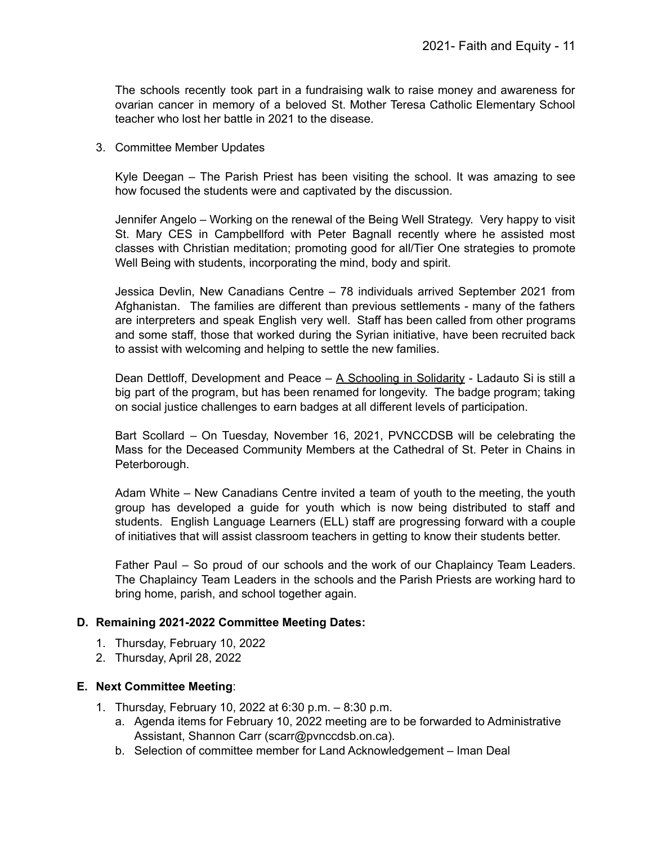The schools recently took part in a fundraising walk to raise money and awareness for ovarian cancer in memory of a beloved St. Mother Teresa Catholic Elementary School teacher who lost her battle in 2021 to the disease.

3. Committee Member Updates

Kyle Deegan – The Parish Priest has been visiting the school. It was amazing to see how focused the students were and captivated by the discussion.

Jennifer Angelo – Working on the renewal of the Being Well Strategy. Very happy to visit St. Mary CES in Campbellford with Peter Bagnall recently where he assisted most classes with Christian meditation; promoting good for all/Tier One strategies to promote Well Being with students, incorporating the mind, body and spirit.

Jessica Devlin, New Canadians Centre – 78 individuals arrived September 2021 from Afghanistan. The families are different than previous settlements - many of the fathers are interpreters and speak English very well. Staff has been called from other programs and some staff, those that worked during the Syrian initiative, have been recruited back to assist with welcoming and helping to settle the new families.

Dean Dettloff, Development and Peace – A [Schooling](https://www.devp.org/en/blog/a-schooling-in-solidarity/) in Solidarity - Ladauto Si is still a big part of the program, but has been renamed for longevity. The badge program; taking on social justice challenges to earn badges at all different levels of participation.

Bart Scollard – On Tuesday, November 16, 2021, PVNCCDSB will be celebrating the Mass for the Deceased Community Members at the Cathedral of St. Peter in Chains in Peterborough.

Adam White – New Canadians Centre invited a team of youth to the meeting, the youth group has developed a guide for youth which is now being distributed to staff and students. English Language Learners (ELL) staff are progressing forward with a couple of initiatives that will assist classroom teachers in getting to know their students better.

Father Paul – So proud of our schools and the work of our Chaplaincy Team Leaders. The Chaplaincy Team Leaders in the schools and the Parish Priests are working hard to bring home, parish, and school together again.

## **D. Remaining 2021-2022 Committee Meeting Dates:**

- 1. Thursday, February 10, 2022
- 2. Thursday, April 28, 2022

#### **E. Next Committee Meeting**:

- 1. Thursday, February 10, 2022 at 6:30 p.m. 8:30 p.m.
	- a. Agenda items for February 10, 2022 meeting are to be forwarded to Administrative Assistant, Shannon Carr (scarr@pvnccdsb.on.ca).
	- b. Selection of committee member for Land Acknowledgement Iman Deal